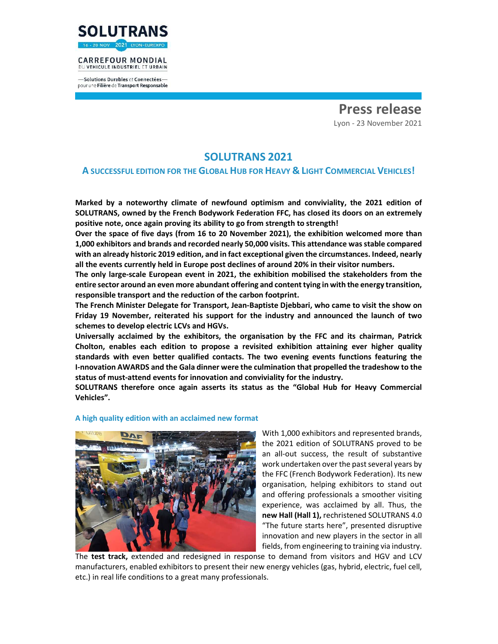

#### **CARREFOUR MONDIAL** DU VEHICULE INDUSTRIEL ET URBAIN

-Solutions Durables et Connectéespour une Filière de Transport Responsable

> **Press release**  Lyon - 23 November 2021

# **SOLUTRANS 2021**

## **A SUCCESSFUL EDITION FOR THE GLOBAL HUB FOR HEAVY & LIGHT COMMERCIAL VEHICLES!**

**Marked by a noteworthy climate of newfound optimism and conviviality, the 2021 edition of SOLUTRANS, owned by the French Bodywork Federation FFC, has closed its doors on an extremely positive note, once again proving its ability to go from strength to strength!** 

**Over the space of five days (from 16 to 20 November 2021), the exhibition welcomed more than 1,000 exhibitors and brands and recorded nearly 50,000 visits. This attendance was stable compared with an already historic 2019 edition, and in fact exceptional given the circumstances. Indeed, nearly all the events currently held in Europe post declines of around 20% in their visitor numbers.** 

**The only large-scale European event in 2021, the exhibition mobilised the stakeholders from the entire sector around an even more abundant offering and content tying in with the energy transition, responsible transport and the reduction of the carbon footprint.** 

**The French Minister Delegate for Transport, Jean-Baptiste Djebbari, who came to visit the show on Friday 19 November, reiterated his support for the industry and announced the launch of two schemes to develop electric LCVs and HGVs.** 

**Universally acclaimed by the exhibitors, the organisation by the FFC and its chairman, Patrick Cholton, enables each edition to propose a revisited exhibition attaining ever higher quality standards with even better qualified contacts. The two evening events functions featuring the I-nnovation AWARDS and the Gala dinner were the culmination that propelled the tradeshow to the status of must-attend events for innovation and conviviality for the industry.** 

**SOLUTRANS therefore once again asserts its status as the "Global Hub for Heavy Commercial Vehicles".** 



## **A high quality edition with an acclaimed new format**

With 1,000 exhibitors and represented brands, the 2021 edition of SOLUTRANS proved to be an all-out success, the result of substantive work undertaken over the past several years by the FFC (French Bodywork Federation). Its new organisation, helping exhibitors to stand out and offering professionals a smoother visiting experience, was acclaimed by all. Thus, the **new Hall (Hall 1),** rechristened SOLUTRANS 4.0 "The future starts here", presented disruptive innovation and new players in the sector in all fields, from engineering to training via industry.

The **test track,** extended and redesigned in response to demand from visitors and HGV and LCV manufacturers, enabled exhibitors to present their new energy vehicles (gas, hybrid, electric, fuel cell, etc.) in real life conditions to a great many professionals.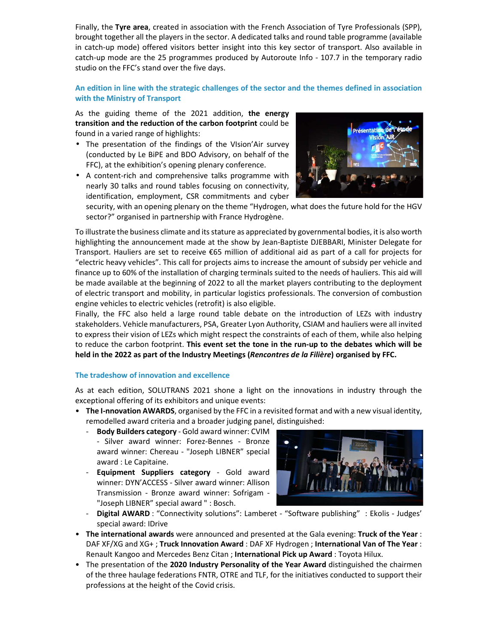Finally, the **Tyre area**, created in association with the French Association of Tyre Professionals (SPP), brought together all the players in the sector. A dedicated talks and round table programme (available in catch-up mode) offered visitors better insight into this key sector of transport. Also available in catch-up mode are the 25 programmes produced by Autoroute Info - 107.7 in the temporary radio studio on the FFC's stand over the five days.

## **An edition in line with the strategic challenges of the sector and the themes defined in association with the Ministry of Transport**

As the guiding theme of the 2021 addition, **the energy transition and the reduction of the carbon footprint** could be found in a varied range of highlights:

- The presentation of the findings of the VIsion'Air survey (conducted by Le BiPE and BDO Advisory, on behalf of the FFC), at the exhibition's opening plenary conference.
- A content-rich and comprehensive talks programme with nearly 30 talks and round tables focusing on connectivity, identification, employment, CSR commitments and cyber



security, with an opening plenary on the theme "Hydrogen, what does the future hold for the HGV sector?" organised in partnership with France Hydrogène.

To illustrate the business climate and its stature as appreciated by governmental bodies, it is also worth highlighting the announcement made at the show by Jean-Baptiste DJEBBARI, Minister Delegate for Transport. Hauliers are set to receive €65 million of additional aid as part of a call for projects for "electric heavy vehicles". This call for projects aims to increase the amount of subsidy per vehicle and finance up to 60% of the installation of charging terminals suited to the needs of hauliers. This aid will be made available at the beginning of 2022 to all the market players contributing to the deployment of electric transport and mobility, in particular logistics professionals. The conversion of combustion engine vehicles to electric vehicles (retrofit) is also eligible.

Finally, the FFC also held a large round table debate on the introduction of LEZs with industry stakeholders. Vehicle manufacturers, PSA, Greater Lyon Authority, CSIAM and hauliers were all invited to express their vision of LEZs which might respect the constraints of each of them, while also helping to reduce the carbon footprint. **This event set the tone in the run-up to the debates which will be held in the 2022 as part of the Industry Meetings (***Rencontres de la Filière***) organised by FFC.**

## **The tradeshow of innovation and excellence**

As at each edition, SOLUTRANS 2021 shone a light on the innovations in industry through the exceptional offering of its exhibitors and unique events:

- **The I-nnovation AWARDS**, organised by the FFC in a revisited format and with a new visual identity, remodelled award criteria and a broader judging panel, distinguished:
	- **Body Builders category**  Gold award winner: CVIM - Silver award winner: Forez-Bennes - Bronze award winner: Chereau - "Joseph LIBNER" special award : Le Capitaine.
	- **Equipment Suppliers category**  Gold award winner: DYN'ACCESS - Silver award winner: Allison Transmission - Bronze award winner: Sofrigam - "Joseph LIBNER" special award " : Bosch.



- Digital AWARD : "Connectivity solutions": Lamberet "Software publishing" : Ekolis Judges' special award: IDrive
- **The international awards** were announced and presented at the Gala evening: **Truck of the Year** : DAF XF/XG and XG+ ; **Truck Innovation Award** : DAF XF Hydrogen ; **International Van of The Year** : Renault Kangoo and Mercedes Benz Citan ; **International Pick up Award** : Toyota Hilux.
- The presentation of the **2020 Industry Personality of the Year Award** distinguished the chairmen of the three haulage federations FNTR, OTRE and TLF, for the initiatives conducted to support their professions at the height of the Covid crisis.